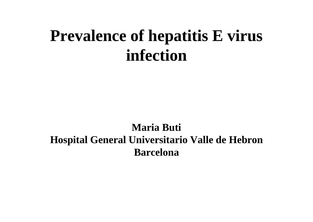## **Prevalence of hepatitis E virus infection**

#### **Maria Buti Hospital General Universitario Valle de Hebron Barcelona**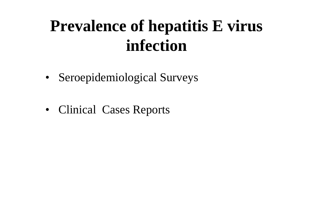# **Prevalence of hepatitis E virus infection**

- Seroepidemiological Surveys
- Clinical Cases Reports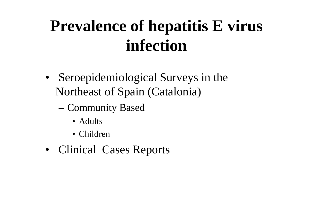# **Prevalence of hepatitis E virus infection**

- Seroepidemiological Surveys in the Northeast of Spain (Catalonia)
	- Community Based
		- Adults
		- Children
- Clinical Cases Reports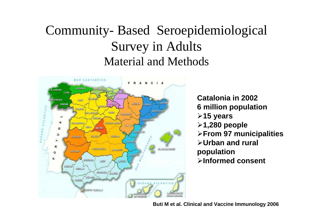#### Community- Based Seroepidemiological Survey in Adults Material and Methods



**Catalonia in 20026 million population** ¾**15 years** ¾**1,280 people** ¾**From 97 municipalities** ¾**Urban and rural population** ¾**Informed consent**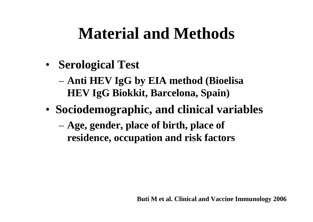## **Material and Methods**

- **Serological Test**
	- **Anti HEV IgG by EIA method (Bioelisa HEV IgG Biokkit, Barcelona, Spain)**
- **Sociodemographic, and clinical variables**
	- **Age, gender, place of birth, place of residence, occupation and risk factors**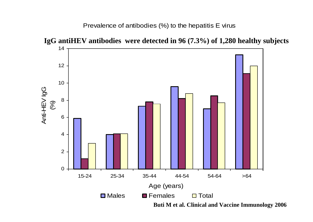#### Prevalence of antibodies (%) to the hepatitis E virus

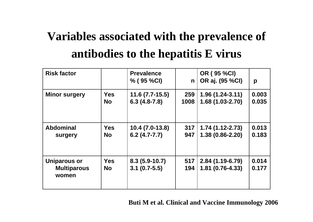#### **Variables associated with the prevalence of antibodies to the hepatitis E virus**

| <b>Risk factor</b>                                 |                    | <b>Prevalence</b><br>$% (95 \% CI)$ | $\mathsf{n}$ | OR (95 %CI)<br>OR aj. (95 %CI)        | p              |
|----------------------------------------------------|--------------------|-------------------------------------|--------------|---------------------------------------|----------------|
| <b>Minor surgery</b>                               | <b>Yes</b>         | $11.6(7.7-15.5)$                    | 259          | $1.96(1.24-3.11)$                     | 0.003          |
|                                                    | <b>No</b>          | $6.3(4.8-7.8)$                      | 1008         | $1.68(1.03 - 2.70)$                   | 0.035          |
| <b>Abdominal</b>                                   | <b>Yes</b>         | $10.4(7.0-13.8)$                    | 317          | $1.74(1.12 - 2.73)$                   | 0.013          |
| surgery                                            | <b>No</b>          | $6.2(4.7 - 7.7)$                    | 947          | $1.38(0.86 - 2.20)$                   | 0.183          |
| <b>Uniparous or</b><br><b>Multiparous</b><br>women | <b>Yes</b><br>No l | $8.3(5.9-10.7)$<br>$3.1(0.7-5.5)$   | 517<br>194   | 2.84 (1.19-6.79)<br>$1.81(0.76-4.33)$ | 0.014<br>0.177 |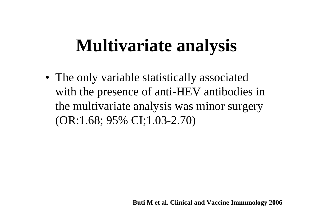# **Multivariate analysis**

• The only variable statistically associated with the presence of anti-HEV antibodies in the multivariate analysis was minor surgery (OR:1.68; 95% CI;1.03-2.70)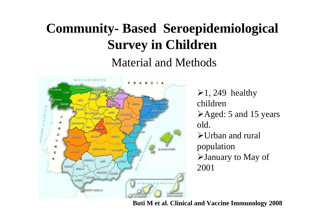### **Community- Based Seroepidemiological Survey in Children**  Material and Methods



 $\geq 1$ , 249 healthy children¾Aged: 5 and 15 years old.  $\blacktriangleright$  Urban and rural population  $\blacktriangleright$  January to May of 2001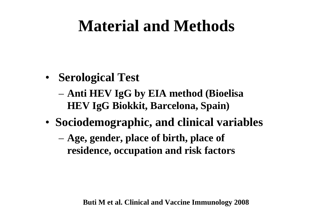### **Material and Methods**

- **Serological Test**
	- **Anti HEV IgG by EIA method (Bioelisa HEV IgG Biokkit, Barcelona, Spain)**
- **Sociodemographic, and clinical variables**
	- **Age, gender, place of birth, place of residence, occupation and risk factors**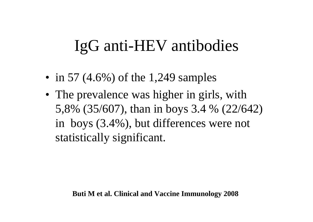## IgG anti-HEV antibodies

- in 57 (4.6%) of the 1,249 samples
- The prevalence was higher in girls, with 5,8% (35/607), than in boys 3.4 % (22/642) in boys (3.4%), but differences were not statistically significant.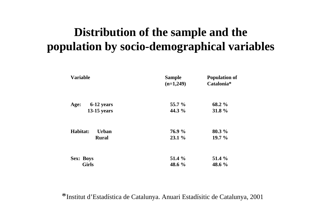#### **Distribution of the sample and the population by socio-demographical variables**

| <b>Variable</b>          | <b>Sample</b><br>$(n=1,249)$ | <b>Population of</b><br>Catalonia* |
|--------------------------|------------------------------|------------------------------------|
| 6-12 years<br>Age:       | 55.7 %                       | 68.2 %                             |
| $13-15$ years            | 44.3 %                       | 31.8 %                             |
| Habitat:<br><b>Urban</b> | <b>76.9 %</b>                | 80.3 %                             |
| <b>Rural</b>             | 23.1%                        | 19.7%                              |
| <b>Sex: Boys</b>         | 51.4 %                       | 51.4 %                             |
| <b>Girls</b>             | 48.6 %                       | 48.6 %                             |

\*Institut d'Estadística de Catalunya. Anuari Estadísitic de Catalunya, 2001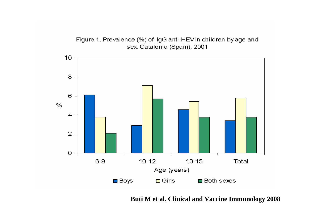

Figure 1. Prevalence (%) of IgG anti-HEV in children by age and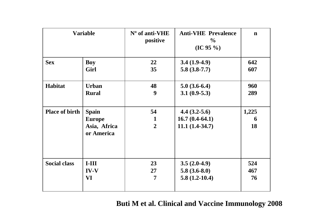| <b>Variable</b>       |                                                             | $No$ of anti-VHE<br>positive | <b>Anti-VHE Prevalence</b><br>$\frac{6}{6}$<br>(IC 95 %) |                  |
|-----------------------|-------------------------------------------------------------|------------------------------|----------------------------------------------------------|------------------|
| <b>Sex</b>            | <b>Boy</b>                                                  | 22                           | $3.4(1.9-4.9)$                                           | 642              |
|                       | Girl                                                        | 35                           | $5.8(3.8-7.7)$                                           | 607              |
| Habitat               | <b>Urban</b>                                                | 48                           | $5.0(3.6-6.4)$                                           | 960              |
|                       | <b>Rural</b>                                                | 9                            | $3.1(0.9-5.3)$                                           | 289              |
| <b>Place of birth</b> | <b>Spain</b><br><b>Europe</b><br>Asia, Africa<br>or America | 54<br>1<br>$\overline{2}$    | $4.4(3.2-5.6)$<br>$16.7(0.4-64.1)$<br>$11.1(1.4-34.7)$   | 1,225<br>6<br>18 |
| <b>Social class</b>   | $I-III$                                                     | 23                           | $3.5(2.0-4.9)$                                           | 524              |
|                       | <b>IV-V</b>                                                 | 27                           | $5.8(3.6-8.0)$                                           | 467              |
|                       | <b>VI</b>                                                   | 7                            | $5.8(1.2-10.4)$                                          | 76               |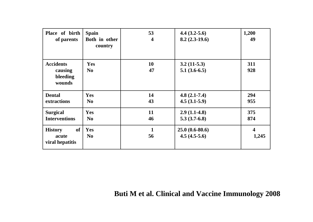| Place of birth<br>of parents                      | <b>Spain</b><br>Both in other<br>country | 53<br>4  | $4.4(3.2-5.6)$<br>$8.2(2.3-19.6)$  | 1,200<br>49 |
|---------------------------------------------------|------------------------------------------|----------|------------------------------------|-------------|
| <b>Accidents</b><br>causing<br>bleeding<br>wounds | Yes<br>N <sub>0</sub>                    | 10<br>47 | $3.2(11-5.3)$<br>$5.1(3.6-6.5)$    | 311<br>928  |
| <b>Dental</b><br>extractions                      | <b>Yes</b><br>N <sub>o</sub>             | 14<br>43 | $4.8(2.1-7.4)$<br>$4.5(3.1-5.9)$   | 294<br>955  |
| <b>Surgical</b><br><b>Interventions</b>           | Yes<br>N <sub>0</sub>                    | 11<br>46 | $2.9(1.1-4.8)$<br>$5.3(3.7-6.8)$   | 375<br>874  |
| of<br><b>History</b><br>acute<br>viral hepatitis  | <b>Yes</b><br>N <sub>0</sub>             | 1<br>56  | $25.0(0.6-80.6)$<br>$4.5(4.5-5.6)$ | 4<br>1,245  |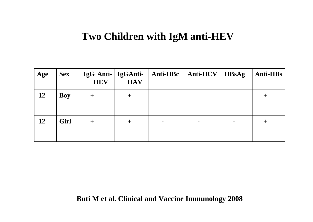#### **Two Children with IgM anti-HEV**

| Age       | <b>Sex</b> | <b>HEV</b> | <b>HAV</b>       | IgG Anti-   IgGAnti-   Anti-HBc   Anti-HCV |   | <b>HBsAg</b> | <b>Anti-HBs</b> |
|-----------|------------|------------|------------------|--------------------------------------------|---|--------------|-----------------|
| 12        | <b>Boy</b> | $\pm$      | $\boldsymbol{+}$ |                                            |   |              |                 |
| <b>12</b> | Girl       | $\pm$      | 十                |                                            | - |              |                 |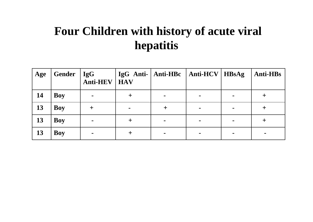#### **Four Children with history of acute viral hepatitis**

| Age       | <b>Gender</b> | <b>IgG</b><br><b>Anti-HEV</b> | <b>HAV</b>  | $\log G$ Anti-   Anti-HBc | $\vert$ Anti-HCV | <b>HBsAg</b>   | Anti-HBs |
|-----------|---------------|-------------------------------|-------------|---------------------------|------------------|----------------|----------|
| <b>14</b> | <b>Boy</b>    |                               |             |                           | $\blacksquare$   |                |          |
| 13        | <b>Boy</b>    |                               |             |                           | $\blacksquare$   | $\blacksquare$ |          |
| 13        | <b>Boy</b>    |                               | $\mathbf +$ |                           | $\blacksquare$   | ۰              |          |
| 13        | <b>Boy</b>    |                               |             |                           | $\blacksquare$   | $\blacksquare$ |          |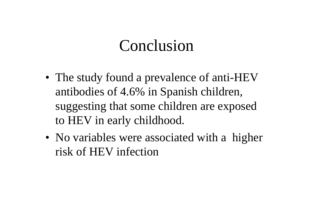### Conclusion

- The study found a prevalence of anti-HEV antibodies of 4.6% in Spanish children, suggesting that some children are exposed to HEV in early childhood.
- No variables were associated with a higher risk of HEV infection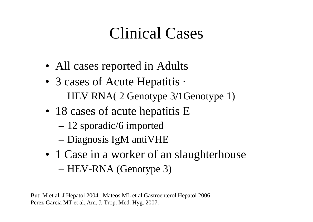### Clinical Cases

- All cases reported in Adults
- 3 cases of Acute Hepatitis  $\cdot$ – HEV RNA( 2 Genotype 3/1Genotype 1)
- 18 cases of acute hepatitis E
	- 12 sporadic/6 imported
	- Diagnosis IgM antiVHE
- 1 Case in a worker of an slaughterhouse – HEV-RNA (Genotype 3)

Buti M et al. J Hepatol 2004. Mateos ML et al Gastroenterol Hepatol 2006 Perez-Garcia MT et al.,Am. J. Trop. Med. Hyg. 2007.